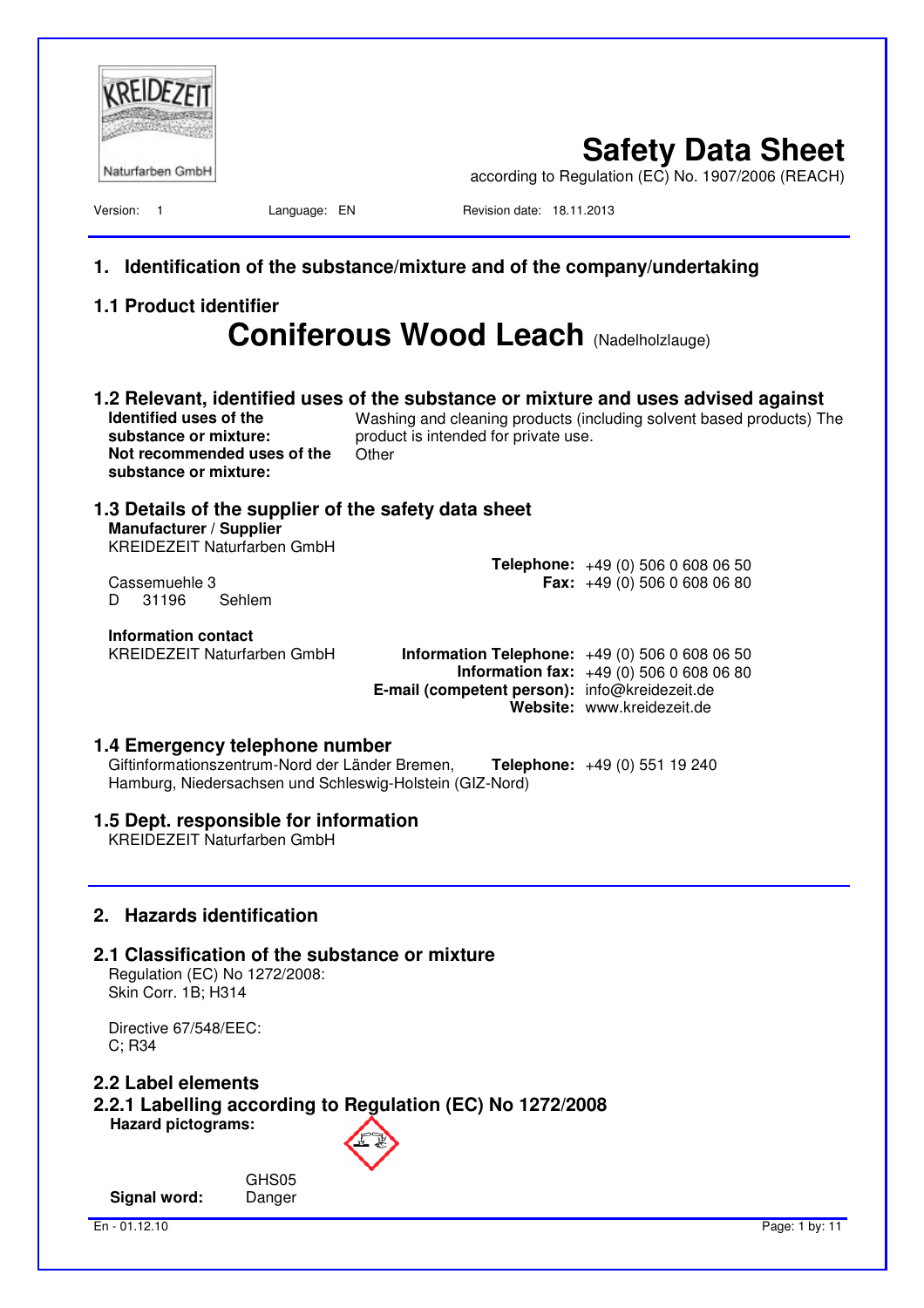| Identification of the substance/mixture and of the company/undertaking<br>1.<br><b>1.1 Product identifier</b><br><b>Coniferous Wood Leach (Nadelholzlauge)</b><br>1.2 Relevant, identified uses of the substance or mixture and uses advised against<br>Identified uses of the<br>Washing and cleaning products (including solvent based products) The<br>substance or mixture:<br>product is intended for private use.<br>Not recommended uses of the<br>Other<br>substance or mixture:<br>1.3 Details of the supplier of the safety data sheet<br>Manufacturer / Supplier<br>KREIDEZEIT Naturfarben GmbH<br><b>Telephone:</b> $+49(0)50606080650$<br>Cassemuehle 3<br><b>Fax:</b> $+49(0)$ 506 0 608 06 80<br>31196<br>Sehlem<br>D.<br><b>Information contact</b><br><b>KREIDEZEIT Naturfarben GmbH</b><br><b>Information Telephone:</b> $+49(0)50606080650$<br><b>Information fax:</b> $+49(0)50606080680$<br>E-mail (competent person): info@kreidezeit.de<br>Website: www.kreidezeit.de<br>1.4 Emergency telephone number<br>Giftinformationszentrum-Nord der Länder Bremen,<br>Telephone: +49 (0) 551 19 240<br>Hamburg, Niedersachsen und Schleswig-Holstein (GIZ-Nord)<br>1.5 Dept. responsible for information<br><b>KREIDEZEIT Naturfarben GmbH</b><br><b>Hazards identification</b><br>2.<br>2.1 Classification of the substance or mixture<br>Regulation (EC) No 1272/2008:<br>Skin Corr. 1B; H314<br>Directive 67/548/EEC:<br>$C$ ; R34<br>2.2 Label elements<br>2.2.1 Labelling according to Regulation (EC) No 1272/2008<br><b>Hazard pictograms:</b><br>GHS05<br><b>Signal word:</b><br>Danger | Naturfarben GmbH<br>Version: 1 | Language: EN | Revision date: 18.11.2013 | <b>Safety Data Sheet</b><br>according to Regulation (EC) No. 1907/2006 (REACH) |
|----------------------------------------------------------------------------------------------------------------------------------------------------------------------------------------------------------------------------------------------------------------------------------------------------------------------------------------------------------------------------------------------------------------------------------------------------------------------------------------------------------------------------------------------------------------------------------------------------------------------------------------------------------------------------------------------------------------------------------------------------------------------------------------------------------------------------------------------------------------------------------------------------------------------------------------------------------------------------------------------------------------------------------------------------------------------------------------------------------------------------------------------------------------------------------------------------------------------------------------------------------------------------------------------------------------------------------------------------------------------------------------------------------------------------------------------------------------------------------------------------------------------------------------------------------------------------------------------------------------|--------------------------------|--------------|---------------------------|--------------------------------------------------------------------------------|
|                                                                                                                                                                                                                                                                                                                                                                                                                                                                                                                                                                                                                                                                                                                                                                                                                                                                                                                                                                                                                                                                                                                                                                                                                                                                                                                                                                                                                                                                                                                                                                                                                |                                |              |                           |                                                                                |
|                                                                                                                                                                                                                                                                                                                                                                                                                                                                                                                                                                                                                                                                                                                                                                                                                                                                                                                                                                                                                                                                                                                                                                                                                                                                                                                                                                                                                                                                                                                                                                                                                |                                |              |                           |                                                                                |
|                                                                                                                                                                                                                                                                                                                                                                                                                                                                                                                                                                                                                                                                                                                                                                                                                                                                                                                                                                                                                                                                                                                                                                                                                                                                                                                                                                                                                                                                                                                                                                                                                |                                |              |                           |                                                                                |
|                                                                                                                                                                                                                                                                                                                                                                                                                                                                                                                                                                                                                                                                                                                                                                                                                                                                                                                                                                                                                                                                                                                                                                                                                                                                                                                                                                                                                                                                                                                                                                                                                |                                |              |                           |                                                                                |
|                                                                                                                                                                                                                                                                                                                                                                                                                                                                                                                                                                                                                                                                                                                                                                                                                                                                                                                                                                                                                                                                                                                                                                                                                                                                                                                                                                                                                                                                                                                                                                                                                |                                |              |                           |                                                                                |
|                                                                                                                                                                                                                                                                                                                                                                                                                                                                                                                                                                                                                                                                                                                                                                                                                                                                                                                                                                                                                                                                                                                                                                                                                                                                                                                                                                                                                                                                                                                                                                                                                |                                |              |                           |                                                                                |
|                                                                                                                                                                                                                                                                                                                                                                                                                                                                                                                                                                                                                                                                                                                                                                                                                                                                                                                                                                                                                                                                                                                                                                                                                                                                                                                                                                                                                                                                                                                                                                                                                |                                |              |                           |                                                                                |
|                                                                                                                                                                                                                                                                                                                                                                                                                                                                                                                                                                                                                                                                                                                                                                                                                                                                                                                                                                                                                                                                                                                                                                                                                                                                                                                                                                                                                                                                                                                                                                                                                |                                |              |                           |                                                                                |
|                                                                                                                                                                                                                                                                                                                                                                                                                                                                                                                                                                                                                                                                                                                                                                                                                                                                                                                                                                                                                                                                                                                                                                                                                                                                                                                                                                                                                                                                                                                                                                                                                |                                |              |                           |                                                                                |
|                                                                                                                                                                                                                                                                                                                                                                                                                                                                                                                                                                                                                                                                                                                                                                                                                                                                                                                                                                                                                                                                                                                                                                                                                                                                                                                                                                                                                                                                                                                                                                                                                |                                |              |                           |                                                                                |
|                                                                                                                                                                                                                                                                                                                                                                                                                                                                                                                                                                                                                                                                                                                                                                                                                                                                                                                                                                                                                                                                                                                                                                                                                                                                                                                                                                                                                                                                                                                                                                                                                |                                |              |                           |                                                                                |
|                                                                                                                                                                                                                                                                                                                                                                                                                                                                                                                                                                                                                                                                                                                                                                                                                                                                                                                                                                                                                                                                                                                                                                                                                                                                                                                                                                                                                                                                                                                                                                                                                |                                |              |                           |                                                                                |
|                                                                                                                                                                                                                                                                                                                                                                                                                                                                                                                                                                                                                                                                                                                                                                                                                                                                                                                                                                                                                                                                                                                                                                                                                                                                                                                                                                                                                                                                                                                                                                                                                |                                |              |                           |                                                                                |
|                                                                                                                                                                                                                                                                                                                                                                                                                                                                                                                                                                                                                                                                                                                                                                                                                                                                                                                                                                                                                                                                                                                                                                                                                                                                                                                                                                                                                                                                                                                                                                                                                |                                |              |                           |                                                                                |
| En - 01.12.10<br>Page: 1 by: 11                                                                                                                                                                                                                                                                                                                                                                                                                                                                                                                                                                                                                                                                                                                                                                                                                                                                                                                                                                                                                                                                                                                                                                                                                                                                                                                                                                                                                                                                                                                                                                                |                                |              |                           |                                                                                |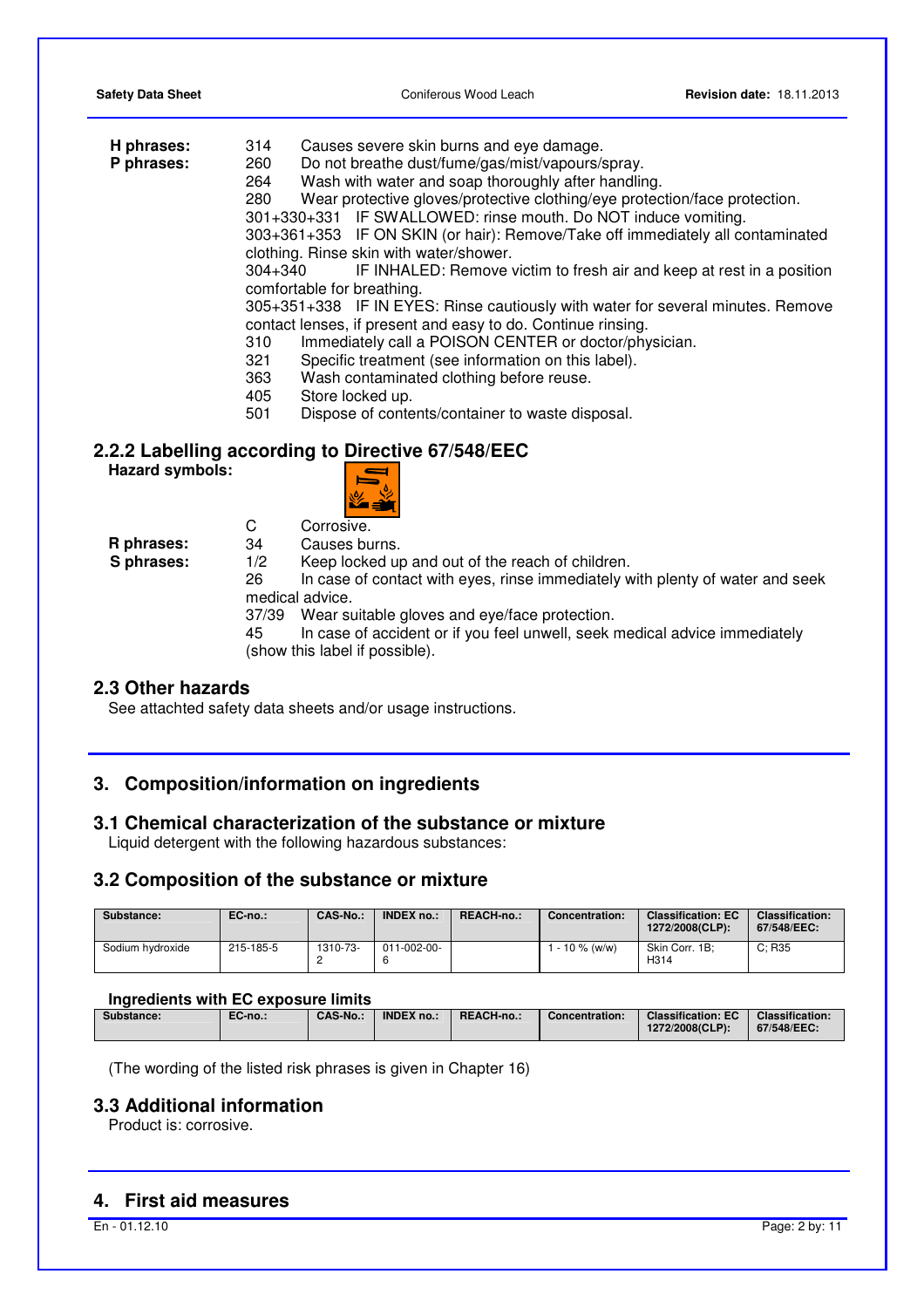| H phrases:             | Causes severe skin burns and eye damage.<br>314                                   |
|------------------------|-----------------------------------------------------------------------------------|
| P phrases:             | Do not breathe dust/fume/gas/mist/vapours/spray.<br>260                           |
|                        | Wash with water and soap thoroughly after handling.<br>264                        |
|                        | Wear protective gloves/protective clothing/eye protection/face protection.<br>280 |
|                        | 301+330+331 IF SWALLOWED: rinse mouth. Do NOT induce vomiting.                    |
|                        | 303+361+353 IF ON SKIN (or hair): Remove/Take off immediately all contaminated    |
|                        | clothing. Rinse skin with water/shower.                                           |
|                        | $304 + 340$                                                                       |
|                        | IF INHALED: Remove victim to fresh air and keep at rest in a position             |
|                        | comfortable for breathing.                                                        |
|                        | 305+351+338 IF IN EYES: Rinse cautiously with water for several minutes. Remove   |
|                        | contact lenses, if present and easy to do. Continue rinsing.                      |
|                        | Immediately call a POISON CENTER or doctor/physician.<br>310                      |
|                        | Specific treatment (see information on this label).<br>321                        |
|                        | Wash contaminated clothing before reuse.<br>363                                   |
|                        | Store locked up.<br>405                                                           |
|                        | Dispose of contents/container to waste disposal.<br>501                           |
|                        |                                                                                   |
|                        | 2.2.2 Labelling according to Directive 67/548/EEC                                 |
| <b>Hazard symbols:</b> |                                                                                   |
|                        |                                                                                   |
|                        |                                                                                   |
|                        |                                                                                   |

C Corrosive.

**R phrases:** 34 Causes burns.

**S phrases:** 1/2 Keep locked up and out of the reach of children. 26 In case of contact with eyes, rinse immediately with plenty of water and seek

medical advice.

37/39 Wear suitable gloves and eye/face protection.

45 In case of accident or if you feel unwell, seek medical advice immediately (show this label if possible).

### **2.3 Other hazards**

See attachted safety data sheets and/or usage instructions.

### **3. Composition/information on ingredients**

### **3.1 Chemical characterization of the substance or mixture**

Liquid detergent with the following hazardous substances:

### **3.2 Composition of the substance or mixture**

| Substance:       | $EC-no.:$ | CAS-No.: | <b>INDEX no.:</b> | REACH-no.: | Concentration:    | <b>Classification: EC</b><br>1272/2008(CLP): | <b>Classification:</b><br>67/548/EEC: |
|------------------|-----------|----------|-------------------|------------|-------------------|----------------------------------------------|---------------------------------------|
| Sodium hydroxide | 215-185-5 | 1310-73- | 011-002-00-       |            | $1 - 10 \%$ (w/w) | Skin Corr. 1B:<br>H314                       | C: R35                                |

### **Ingredients with EC exposure limits**

| Substance: | EC-no.: | <b>CAS-No.:</b> | <b>INDEX no.:</b> | REACH-no | Concentration: | <b>Classification: EC</b><br>1272/2008(CLP): | <b>Classification:</b><br>$67/548/EEC$ : |
|------------|---------|-----------------|-------------------|----------|----------------|----------------------------------------------|------------------------------------------|
|            |         |                 |                   |          |                |                                              |                                          |

(The wording of the listed risk phrases is given in Chapter 16)

### **3.3 Additional information**

Product is: corrosive.

### **4. First aid measures**

En - 01.12.10 Page: 2 by: 11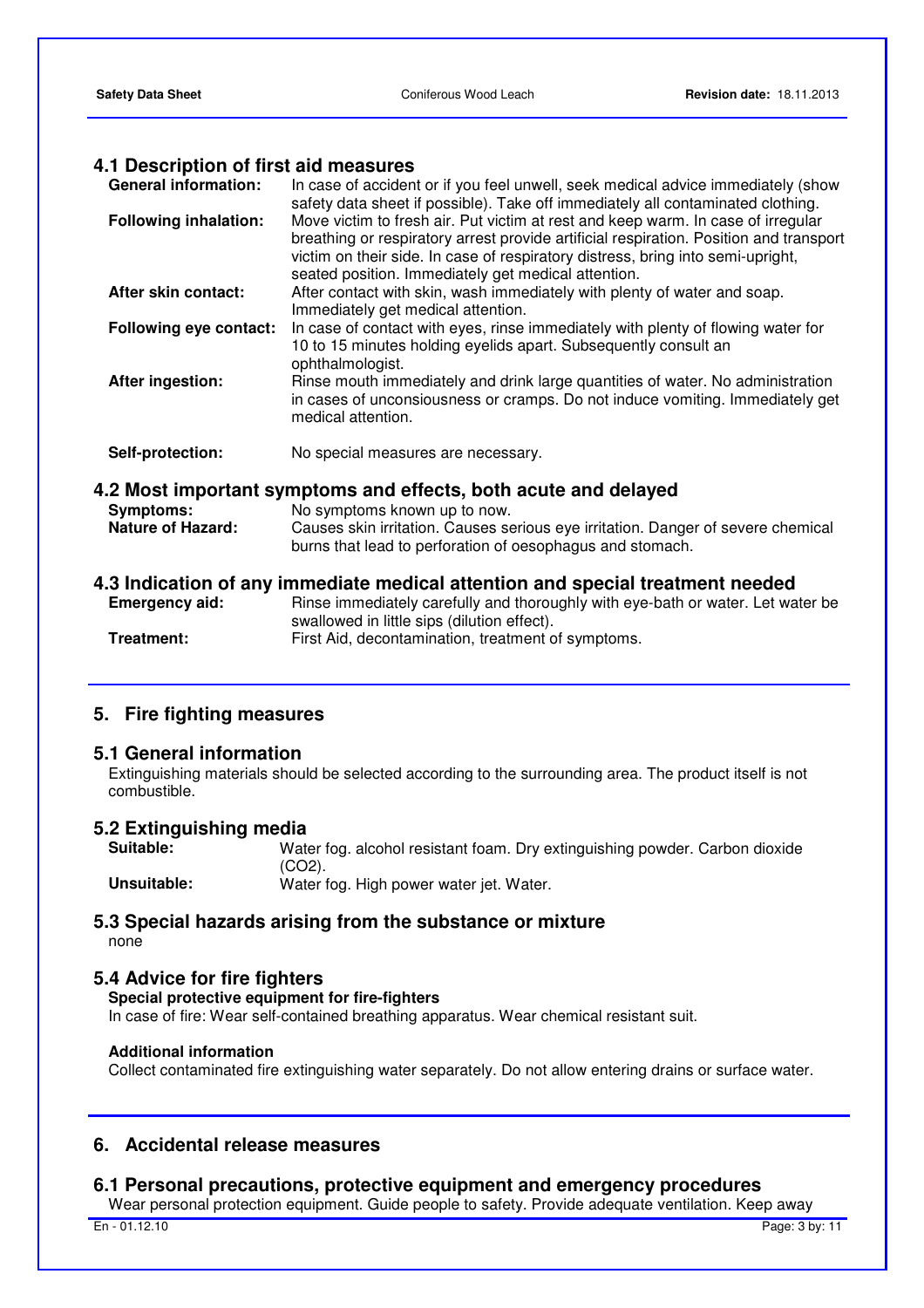### **4.1 Description of first aid measures**

| <b>General information:</b>                  | In case of accident or if you feel unwell, seek medical advice immediately (show<br>safety data sheet if possible). Take off immediately all contaminated clothing.                                                                                                                                                  |
|----------------------------------------------|----------------------------------------------------------------------------------------------------------------------------------------------------------------------------------------------------------------------------------------------------------------------------------------------------------------------|
| <b>Following inhalation:</b>                 | Move victim to fresh air. Put victim at rest and keep warm. In case of irregular<br>breathing or respiratory arrest provide artificial respiration. Position and transport<br>victim on their side. In case of respiratory distress, bring into semi-upright,<br>seated position. Immediately get medical attention. |
| After skin contact:                          | After contact with skin, wash immediately with plenty of water and soap.<br>Immediately get medical attention.                                                                                                                                                                                                       |
| Following eye contact:                       | In case of contact with eyes, rinse immediately with plenty of flowing water for<br>10 to 15 minutes holding eyelids apart. Subsequently consult an<br>ophthalmologist.                                                                                                                                              |
| <b>After ingestion:</b>                      | Rinse mouth immediately and drink large quantities of water. No administration<br>in cases of unconsiousness or cramps. Do not induce vomiting. Immediately get<br>medical attention.                                                                                                                                |
| Self-protection:                             | No special measures are necessary.                                                                                                                                                                                                                                                                                   |
| <b>Symptoms:</b><br><b>Nature of Hazard:</b> | 4.2 Most important symptoms and effects, both acute and delayed<br>No symptoms known up to now.<br>Causes skin irritation. Causes serious eye irritation. Danger of severe chemical<br>burns that lead to perforation of oesophagus and stomach.                                                                     |
| <b>Emergency aid:</b><br>Treatment:          | 4.3 Indication of any immediate medical attention and special treatment needed<br>Rinse immediately carefully and thoroughly with eye-bath or water. Let water be<br>swallowed in little sips (dilution effect).<br>First Aid, decontamination, treatment of symptoms.                                               |
|                                              |                                                                                                                                                                                                                                                                                                                      |

### **5. Fire fighting measures**

### **5.1 General information**

 Extinguishing materials should be selected according to the surrounding area. The product itself is not combustible.

# **5.2 Extinguishing media**

Water fog. alcohol resistant foam. Dry extinguishing powder. Carbon dioxide (CO2). **Unsuitable:** Water fog. High power water jet. Water.

## **5.3 Special hazards arising from the substance or mixture**

none

### **5.4 Advice for fire fighters**

#### **Special protective equipment for fire-fighters**

In case of fire: Wear self-contained breathing apparatus. Wear chemical resistant suit.

#### **Additional information**

Collect contaminated fire extinguishing water separately. Do not allow entering drains or surface water.

### **6. Accidental release measures**

### **6.1 Personal precautions, protective equipment and emergency procedures**

Wear personal protection equipment. Guide people to safety. Provide adequate ventilation. Keep away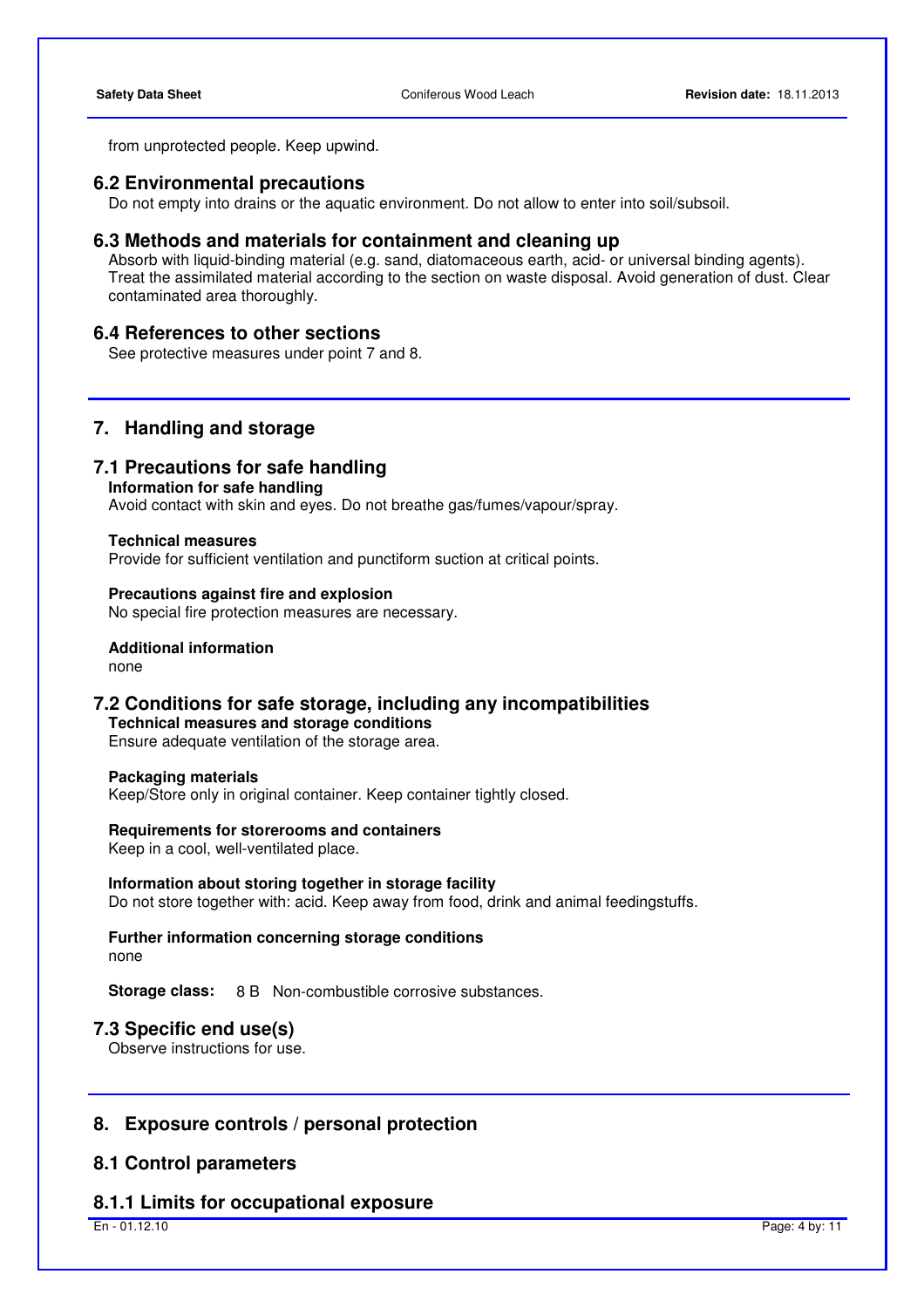from unprotected people. Keep upwind.

### **6.2 Environmental precautions**

Do not empty into drains or the aquatic environment. Do not allow to enter into soil/subsoil.

### **6.3 Methods and materials for containment and cleaning up**

 Absorb with liquid-binding material (e.g. sand, diatomaceous earth, acid- or universal binding agents). Treat the assimilated material according to the section on waste disposal. Avoid generation of dust. Clear contaminated area thoroughly.

### **6.4 References to other sections**

See protective measures under point 7 and 8.

### **7. Handling and storage**

### **7.1 Precautions for safe handling**

**Information for safe handling** 

Avoid contact with skin and eyes. Do not breathe gas/fumes/vapour/spray.

#### **Technical measures**

Provide for sufficient ventilation and punctiform suction at critical points.

**Precautions against fire and explosion**  No special fire protection measures are necessary.

### **Additional information**

none

**7.2 Conditions for safe storage, including any incompatibilities Technical measures and storage conditions** 

Ensure adequate ventilation of the storage area.

#### **Packaging materials**

Keep/Store only in original container. Keep container tightly closed.

#### **Requirements for storerooms and containers**

Keep in a cool, well-ventilated place.

### **Information about storing together in storage facility**

Do not store together with: acid. Keep away from food, drink and animal feedingstuffs.

**Further information concerning storage conditions**  none

**Storage class:** 8 B Non-combustible corrosive substances.

### **7.3 Specific end use(s)**

Observe instructions for use.

### **8. Exposure controls / personal protection**

### **8.1 Control parameters**

### **8.1.1 Limits for occupational exposure**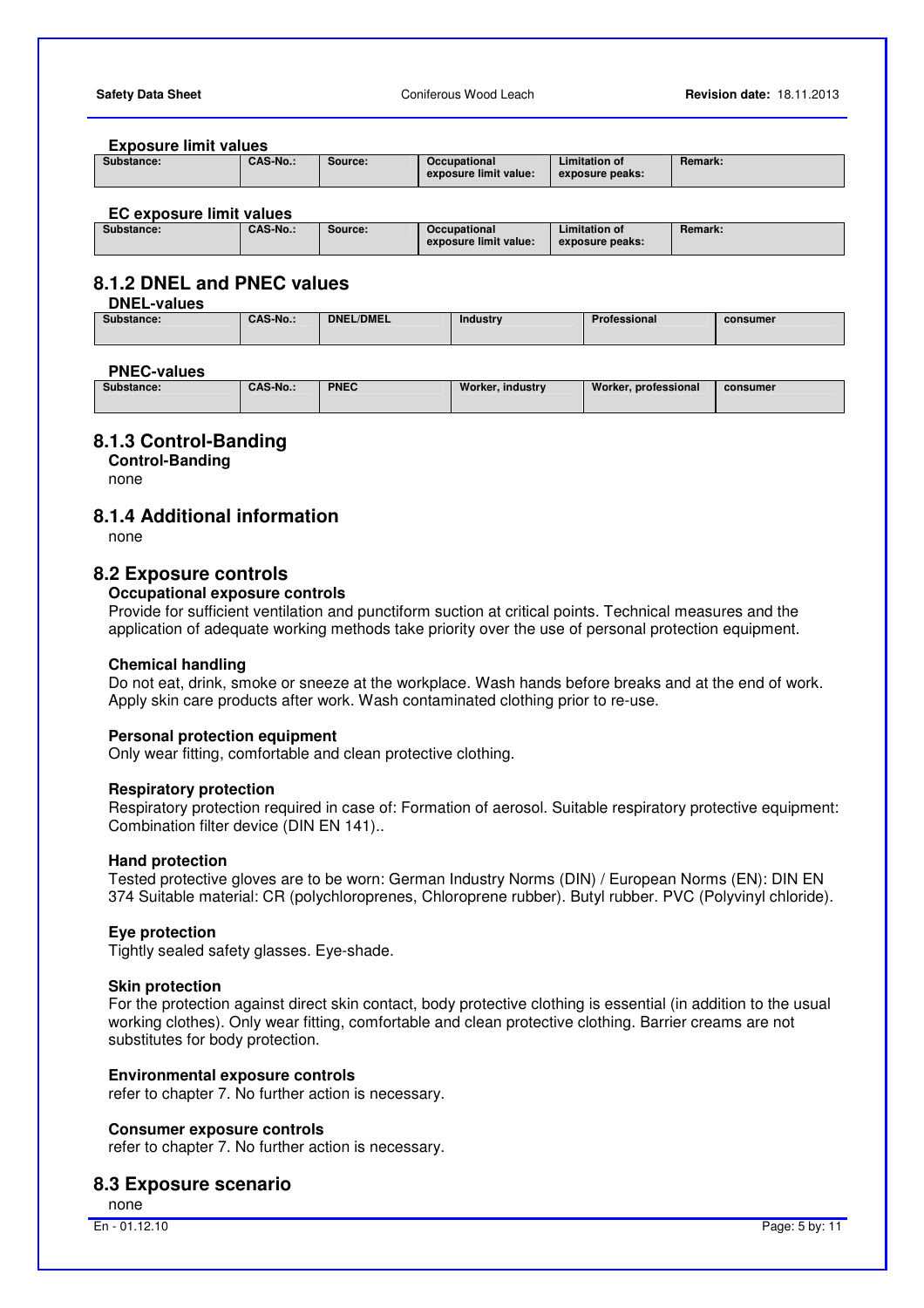#### **Exposure limit values**

| Substance: | <b>CAS-No.:</b> | Source: | <b>Occupational</b><br>exposure limit value: | <b>Limitation of</b><br>exposure peaks: | <b>Remark:</b> |
|------------|-----------------|---------|----------------------------------------------|-----------------------------------------|----------------|
|            |                 |         |                                              |                                         |                |

#### **EC exposure limit values**

### **8.1.2 DNEL and PNEC values**

**DNEL-values** 

| Substance: | <b>CAS-No.:</b> | <b>DNEL/DMEL</b> | Industry | Professional | consumer |
|------------|-----------------|------------------|----------|--------------|----------|
|            |                 |                  |          |              |          |

#### **PNEC-values**

| Substance: | <b>CAS-No.:</b> | <b>PNEC</b> | Worker, industry | Worker, professional | consumer |
|------------|-----------------|-------------|------------------|----------------------|----------|
|            |                 |             |                  |                      |          |

### **8.1.3 Control-Banding**

**Control-Banding**  none

### **8.1.4 Additional information**

none

### **8.2 Exposure controls**

### **Occupational exposure controls**

 Provide for sufficient ventilation and punctiform suction at critical points. Technical measures and the application of adequate working methods take priority over the use of personal protection equipment.

### **Chemical handling**

 Do not eat, drink, smoke or sneeze at the workplace. Wash hands before breaks and at the end of work. Apply skin care products after work. Wash contaminated clothing prior to re-use.

#### **Personal protection equipment**

Only wear fitting, comfortable and clean protective clothing.

#### **Respiratory protection**

 Respiratory protection required in case of: Formation of aerosol. Suitable respiratory protective equipment: Combination filter device (DIN EN 141)..

#### **Hand protection**

 Tested protective gloves are to be worn: German Industry Norms (DIN) / European Norms (EN): DIN EN 374 Suitable material: CR (polychloroprenes, Chloroprene rubber). Butyl rubber. PVC (Polyvinyl chloride).

#### **Eye protection**

Tightly sealed safety glasses. Eye-shade.

#### **Skin protection**

 For the protection against direct skin contact, body protective clothing is essential (in addition to the usual working clothes). Only wear fitting, comfortable and clean protective clothing. Barrier creams are not substitutes for body protection.

#### **Environmental exposure controls**

refer to chapter 7. No further action is necessary.

#### **Consumer exposure controls**

refer to chapter 7. No further action is necessary.

### **8.3 Exposure scenario**

none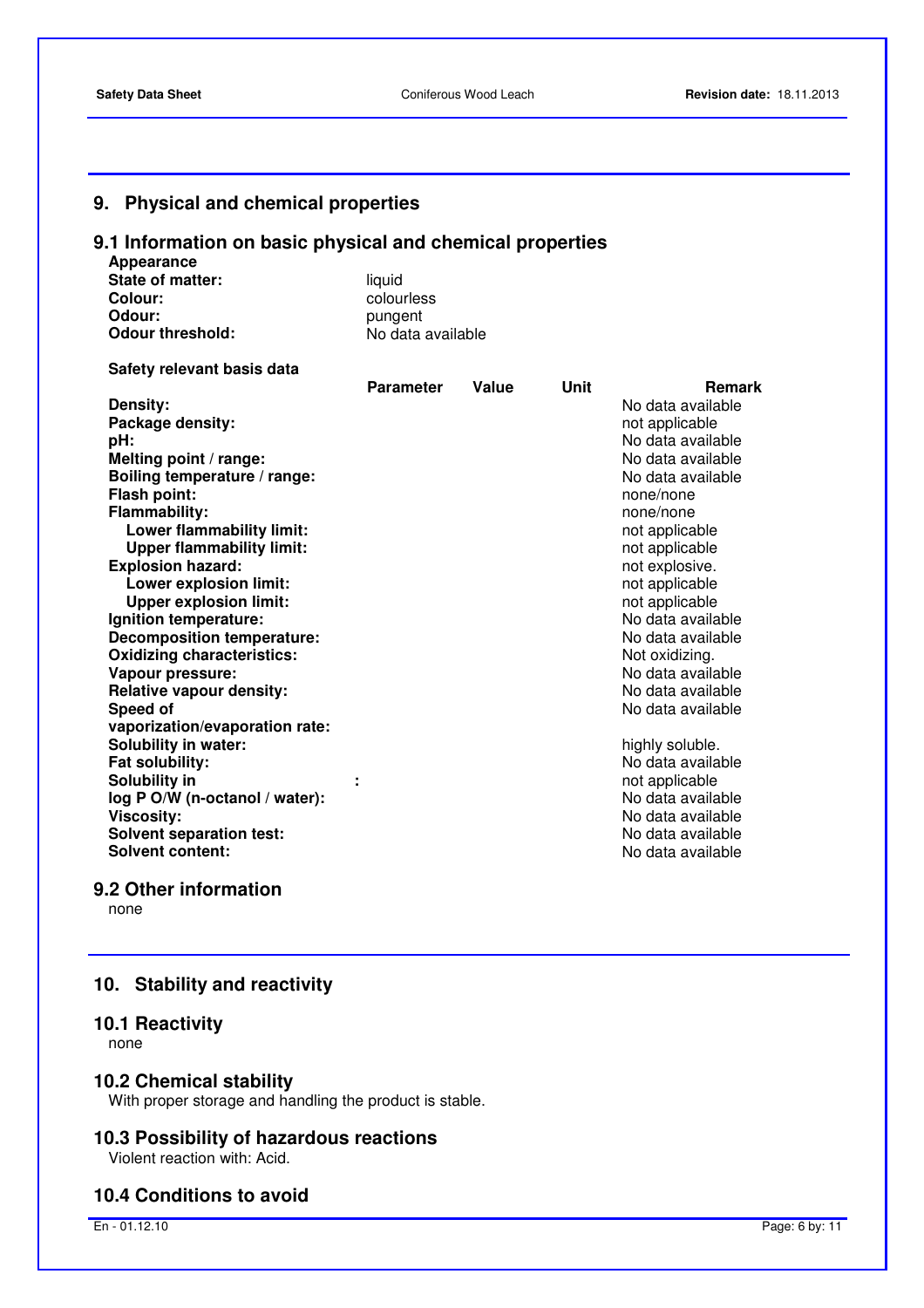### **9. Physical and chemical properties**

### **9.1 Information on basic physical and chemical properties**

| Appearance              |                   |
|-------------------------|-------------------|
| State of matter:        | liauid            |
| Colour:                 | colourless        |
| Odour:                  | pungent           |
| <b>Odour threshold:</b> | No data available |

| Safety relevant basis data |  |  |  |
|----------------------------|--|--|--|
|----------------------------|--|--|--|

|                                   | <b>Parameter</b> | Value | Unit | <b>Remark</b>     |
|-----------------------------------|------------------|-------|------|-------------------|
| Density:                          |                  |       |      | No data available |
| Package density:                  |                  |       |      | not applicable    |
| pH:                               |                  |       |      | No data available |
| Melting point / range:            |                  |       |      | No data available |
| Boiling temperature / range:      |                  |       |      | No data available |
| Flash point:                      |                  |       |      | none/none         |
| <b>Flammability:</b>              |                  |       |      | none/none         |
| Lower flammability limit:         |                  |       |      | not applicable    |
| <b>Upper flammability limit:</b>  |                  |       |      | not applicable    |
| <b>Explosion hazard:</b>          |                  |       |      | not explosive.    |
| Lower explosion limit:            |                  |       |      | not applicable    |
| <b>Upper explosion limit:</b>     |                  |       |      | not applicable    |
| Ignition temperature:             |                  |       |      | No data available |
| <b>Decomposition temperature:</b> |                  |       |      | No data available |
| <b>Oxidizing characteristics:</b> |                  |       |      | Not oxidizing.    |
| Vapour pressure:                  |                  |       |      | No data available |
| <b>Relative vapour density:</b>   |                  |       |      | No data available |
| Speed of                          |                  |       |      | No data available |
| vaporization/evaporation rate:    |                  |       |      |                   |
| <b>Solubility in water:</b>       |                  |       |      | highly soluble.   |
| Fat solubility:                   |                  |       |      | No data available |
| Solubility in                     |                  |       |      | not applicable    |
| log P O/W (n-octanol / water):    |                  |       |      | No data available |
| <b>Viscosity:</b>                 |                  |       |      | No data available |
| <b>Solvent separation test:</b>   |                  |       |      | No data available |
| <b>Solvent content:</b>           |                  |       |      | No data available |
|                                   |                  |       |      |                   |

### **9.2 Other information**

none

### **10. Stability and reactivity**

### **10.1 Reactivity**

none

### **10.2 Chemical stability**

With proper storage and handling the product is stable.

## **10.3 Possibility of hazardous reactions**

Violent reaction with: Acid.

### **10.4 Conditions to avoid**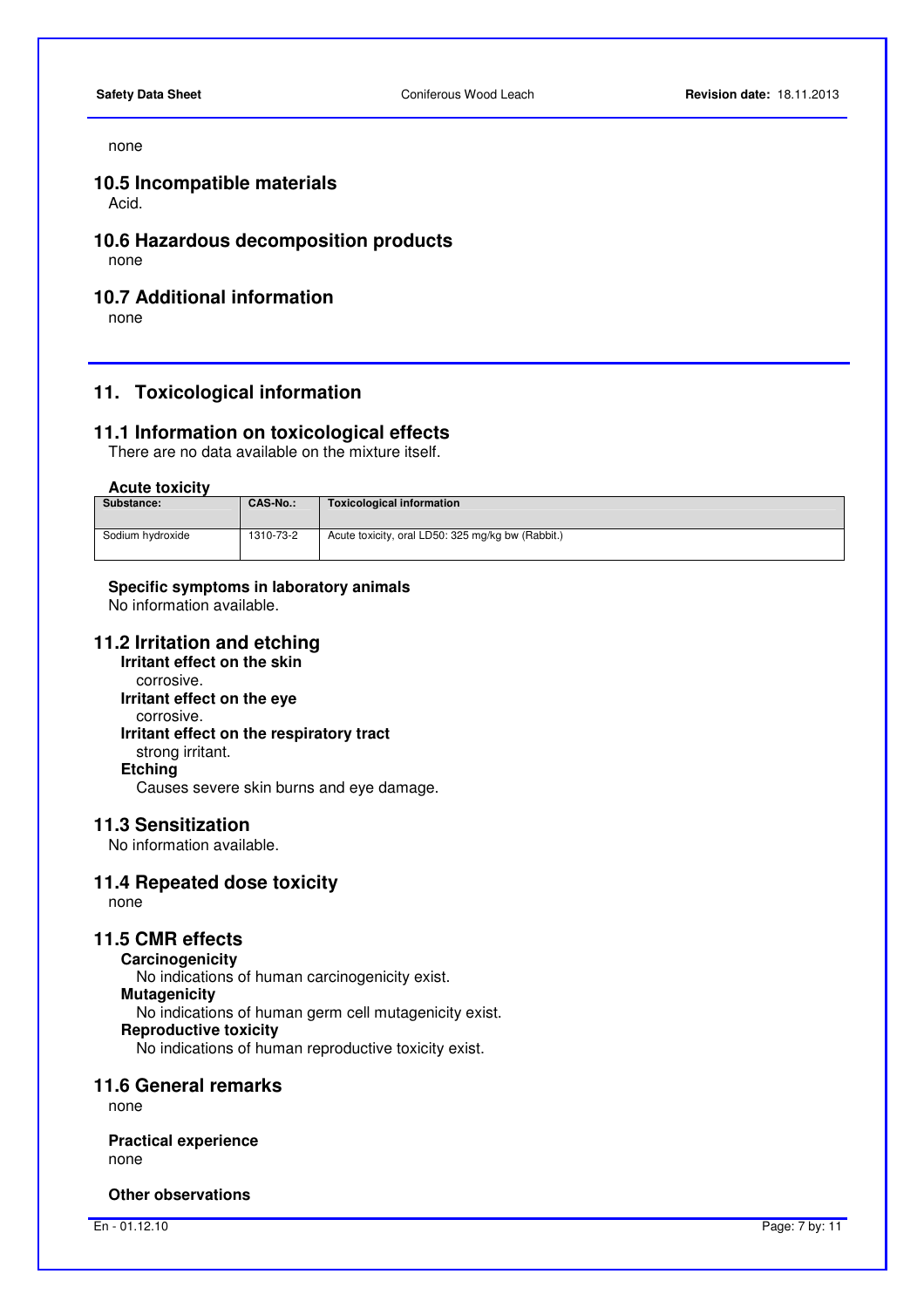#### none

### **10.5 Incompatible materials**

Acid.

### **10.6 Hazardous decomposition products**

none

### **10.7 Additional information**

none

### **11. Toxicological information**

### **11.1 Information on toxicological effects**

There are no data available on the mixture itself.

#### **Acute toxicity**

| <b>CAS-No.:</b> | Toxicological information                         |
|-----------------|---------------------------------------------------|
|                 |                                                   |
| 1310-73-2       | Acute toxicity, oral LD50: 325 mg/kg bw (Rabbit.) |
|                 |                                                   |

### **Specific symptoms in laboratory animals**

No information available.

### **11.2 Irritation and etching**

**Irritant effect on the skin**  corrosive. **Irritant effect on the eye** corrosive. **Irritant effect on the respiratory tract** strong irritant. **Etching**  Causes severe skin burns and eye damage.

#### **11.3 Sensitization**

No information available.

### **11.4 Repeated dose toxicity**

none

### **11.5 CMR effects**

**Carcinogenicity**  No indications of human carcinogenicity exist. **Mutagenicity**  No indications of human germ cell mutagenicity exist. **Reproductive toxicity**  No indications of human reproductive toxicity exist.

#### **11.6 General remarks**

none

#### **Practical experience**  none

**Other observations**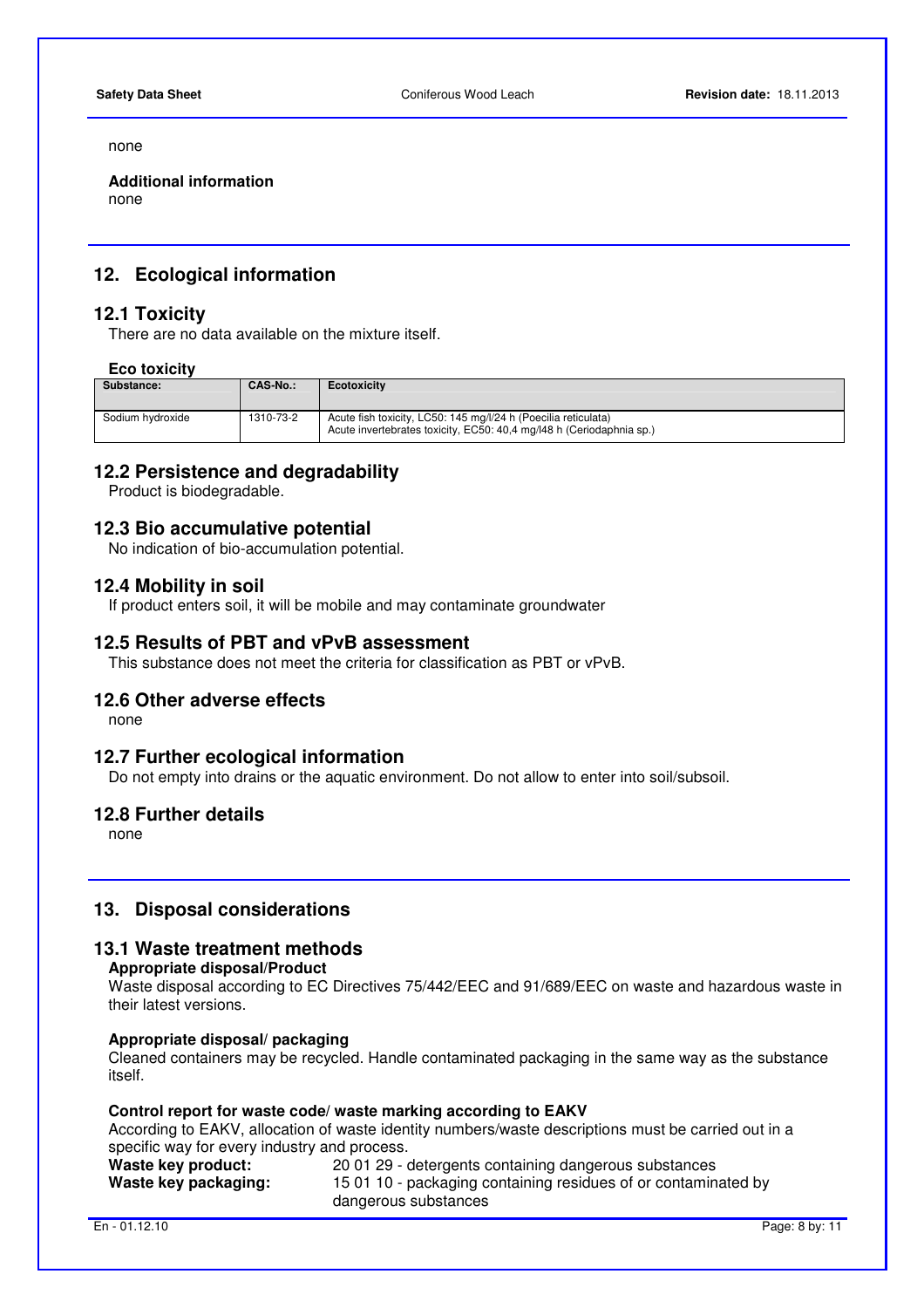none

**Additional information**  none

### **12. Ecological information**

### **12.1 Toxicity**

There are no data available on the mixture itself.

### **Eco toxicity**

| Substance:       | <b>CAS-No.:</b> | <b>Ecotoxicity</b>                                                                                                                     |
|------------------|-----------------|----------------------------------------------------------------------------------------------------------------------------------------|
| Sodium hydroxide | 1310-73-2       | Acute fish toxicity, LC50: 145 mg/l/24 h (Poecilia reticulata)<br>Acute invertebrates toxicity, EC50: 40.4 mg/l48 h (Ceriodaphnia sp.) |

### **12.2 Persistence and degradability**

Product is biodegradable.

### **12.3 Bio accumulative potential**

No indication of bio-accumulation potential.

### **12.4 Mobility in soil**

If product enters soil, it will be mobile and may contaminate groundwater

### **12.5 Results of PBT and vPvB assessment**

This substance does not meet the criteria for classification as PBT or vPvB.

### **12.6 Other adverse effects**

none

### **12.7 Further ecological information**

Do not empty into drains or the aquatic environment. Do not allow to enter into soil/subsoil.

### **12.8 Further details**

none

### **13. Disposal considerations**

### **13.1 Waste treatment methods**

### **Appropriate disposal/Product**

 Waste disposal according to EC Directives 75/442/EEC and 91/689/EEC on waste and hazardous waste in their latest versions.

#### **Appropriate disposal/ packaging**

 Cleaned containers may be recycled. Handle contaminated packaging in the same way as the substance itself.

#### **Control report for waste code/ waste marking according to EAKV**

 According to EAKV, allocation of waste identity numbers/waste descriptions must be carried out in a specific way for every industry and process.

| Waste key product:   | 20 01 29 - detergents containing dangerous substances          |
|----------------------|----------------------------------------------------------------|
| Waste key packaging: | 15 01 10 - packaging containing residues of or contaminated by |
|                      | dangerous substances                                           |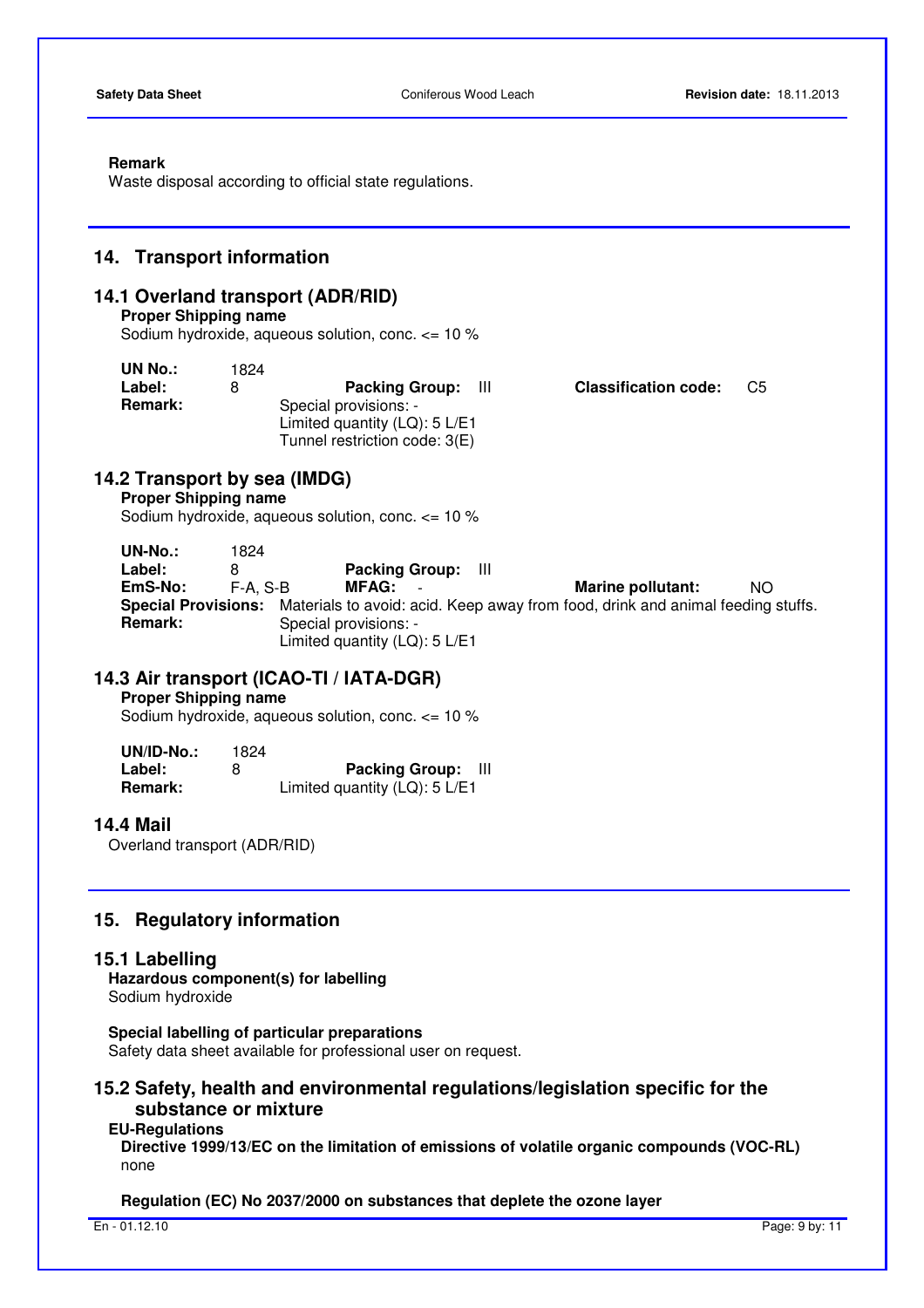#### **Remark**

Waste disposal according to official state regulations.

### **14. Transport information**

### **14.1 Overland transport (ADR/RID)**

#### **Proper Shipping name**

Sodium hydroxide, aqueous solution, conc. <= 10 %

| UN No.:        | 1824 |                                  |                             |    |
|----------------|------|----------------------------------|-----------------------------|----|
| Label:         | 8    | <b>Packing Group:</b> III        | <b>Classification code:</b> | C5 |
| <b>Remark:</b> |      | Special provisions: -            |                             |    |
|                |      | Limited quantity $(LQ)$ : 5 L/E1 |                             |    |
|                |      | Tunnel restriction code: 3(E)    |                             |    |

### **14.2 Transport by sea (IMDG)**

**Proper Shipping name** 

Sodium hydroxide, aqueous solution, conc. <= 10 %

**UN-No.:** 1824 **Label:** 8 **Packing Group:** III **EmS-No:** F-A, S-B **MFAG:** - **Marine pollutant:** NO **Special Provisions:** Materials to avoid: acid. Keep away from food, drink and animal feeding stuffs. **Remark:** Special provisions: -Limited quantity (LQ): 5 L/E1

### **14.3 Air transport (ICAO-TI / IATA-DGR)**

**Proper Shipping name** 

Sodium hydroxide, aqueous solution, conc. <= 10 %

| $UN/ID-No.$ :  | 1824 |                                  |  |
|----------------|------|----------------------------------|--|
| Label:         | 8    | <b>Packing Group:</b>            |  |
| <b>Remark:</b> |      | Limited quantity $(LQ)$ : 5 L/E1 |  |

### **14.4 Mail**

Overland transport (ADR/RID)

### **15. Regulatory information**

### **15.1 Labelling**

**Hazardous component(s) for labelling**  Sodium hydroxide

**Special labelling of particular preparations** 

Safety data sheet available for professional user on request.

### **15.2 Safety, health and environmental regulations/legislation specific for the substance or mixture**

#### **EU-Regulations**

**Directive 1999/13/EC on the limitation of emissions of volatile organic compounds (VOC-RL)**  none

#### **Regulation (EC) No 2037/2000 on substances that deplete the ozone layer**

En - 01.12.10 Page: 9 by: 11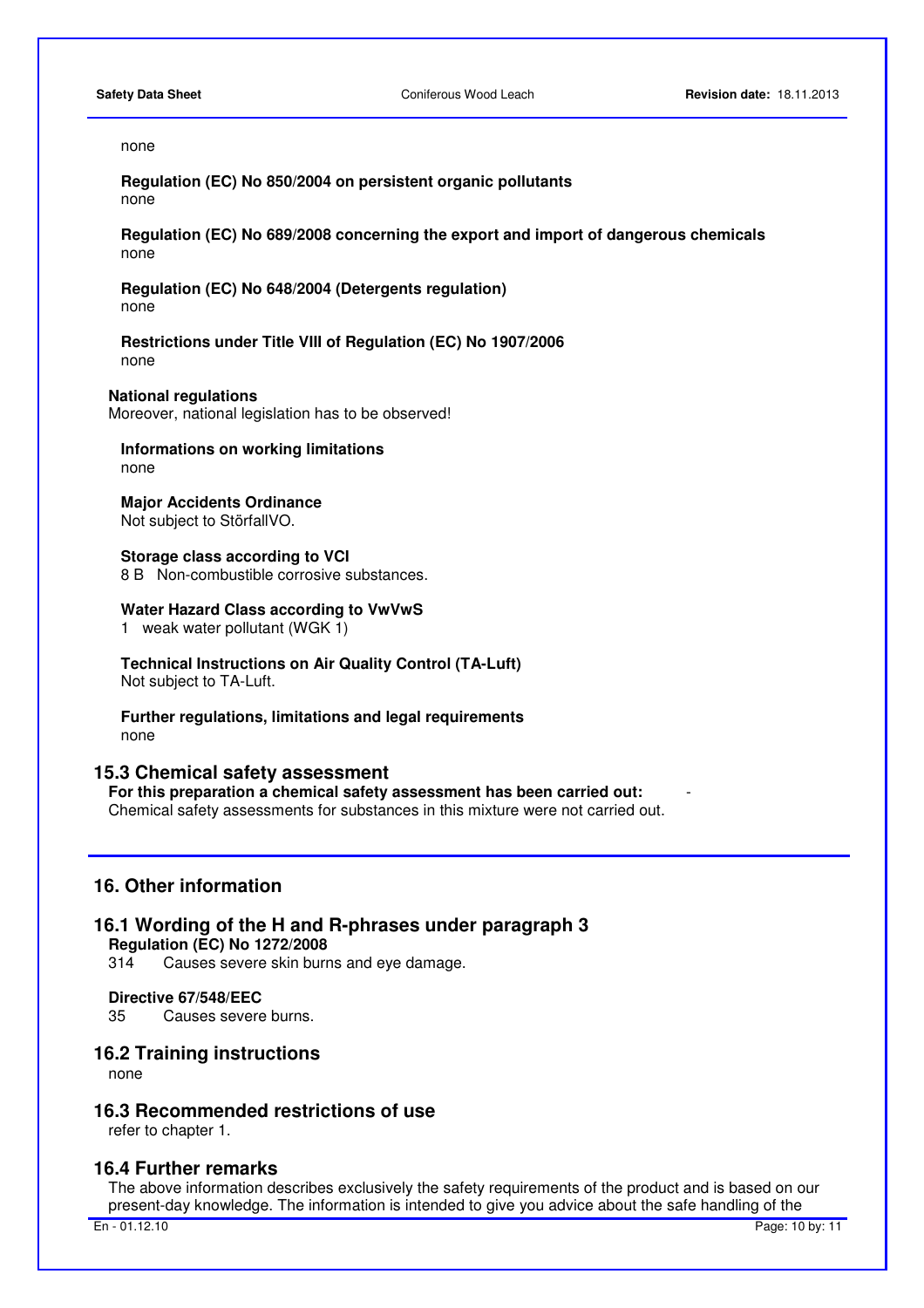#### none

**Regulation (EC) No 850/2004 on persistent organic pollutants**  none

**Regulation (EC) No 689/2008 concerning the export and import of dangerous chemicals**  none

**Regulation (EC) No 648/2004 (Detergents regulation)** none

**Restrictions under Title VIII of Regulation (EC) No 1907/2006**  none

**National regulations** 

Moreover, national legislation has to be observed!

**Informations on working limitations**  none

**Major Accidents Ordinance**  Not subject to StörfallVO.

**Storage class according to VCI**  8 B Non-combustible corrosive substances.

#### **Water Hazard Class according to VwVwS**

1 weak water pollutant (WGK 1)

**Technical Instructions on Air Quality Control (TA-Luft)**  Not subject to TA-Luft.

**Further regulations, limitations and legal requirements**  none

### **15.3 Chemical safety assessment**

**For this preparation a chemical safety assessment has been carried out:** - Chemical safety assessments for substances in this mixture were not carried out.

### **16. Other information**

### **16.1 Wording of the H and R-phrases under paragraph 3 Regulation (EC) No 1272/2008**

314 Causes severe skin burns and eye damage.

#### **Directive 67/548/EEC**

35 Causes severe burns.

### **16.2 Training instructions**

none

### **16.3 Recommended restrictions of use**

refer to chapter 1.

#### **16.4 Further remarks**

 The above information describes exclusively the safety requirements of the product and is based on our present-day knowledge. The information is intended to give you advice about the safe handling of the